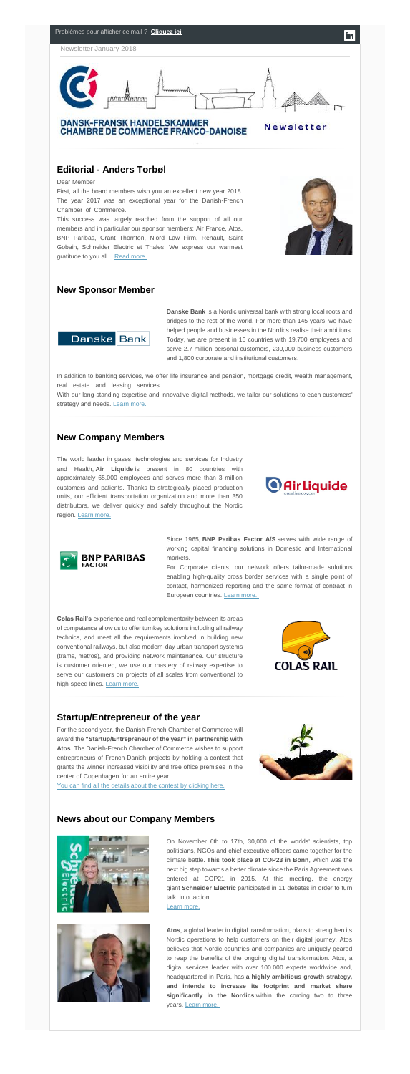

First, all the board members wish you an excellent new year 2018. The year 2017 was an exceptional year for the Danish-French Chamber of Commerce.

# **Editorial - Anders Torbøl**

#### Dear Member

This success was largely reached from the support of all our members and in particular our sponsor members: Air France, Atos, BNP Paribas, Grant Thornton, Njord Law Firm, Renault, Saint Gobain, Schneider Electric et Thales. We express our warmest gratitude to you all... [Read more.](http://www.dansk-fransk.dk/index.php?id=35606)



In addition to banking services, we offer life insurance and pension, mortgage credit, wealth management, real estate and leasing services.

With our long-standing expertise and innovative digital methods, we tailor our solutions to each customers' strategy and needs. [Learn more.](http://www.dansk-fransk.dk/fileadmin/template/danemark/Newsletter_janvier_18/Corporate_presentation_UK_April_2017.pdf)

### **New Sponsor Member**



**Danske Bank** is a Nordic universal bank with strong local roots and bridges to the rest of the world. For more than 145 years, we have helped people and businesses in the Nordics realise their ambitions. Today, we are present in 16 countries with 19,700 employees and serve 2.7 million personal customers, 230,000 business customers and 1,800 corporate and institutional customers.

of competence allow us to offer turnkey solutions including all railway technics, and meet all the requirements involved in building new conventional railways, but also modern-day urban transport systems (trams, metros), and providing network maintenance. Our structure is customer oriented, we use our mastery of railway expertise to serve our customers on projects of all scales from conventional to high-speed lines. [Learn more.](http://www.dansk-fransk.dk/index.php?id=35462)



### **New Company Members**

For the second year, the Danish-French Chamber of Commerce will award the **"Startup/Entrepreneur of the year" in partnership with Atos**. The Danish-French Chamber of Commerce wishes to support entrepreneurs of French-Danish projects by holding a contest that grants the winner increased visibility and free office premises in the center of Copenhagen for an entire year.



[You can find all the details about the contest by clicking here.](http://www.dansk-fransk.dk/actualite/startupentrepreneur-of-the-year/)

The world leader in gases, technologies and services for Industry and Health, **Air Liquide** is present in 80 countries with approximately 65,000 employees and serves more than 3 million customers and patients. Thanks to strategically placed production units, our efficient transportation organization and more than 350 distributors, we deliver quickly and safely throughout the Nordic region. [Learn more.](http://www.dansk-fransk.dk/index.php?id=35461&no_cache=1)





On November 6th to 17th, 30,000 of the worlds' scientists, top politicians, NGOs and chief executive officers came together for the climate battle. **This took place at COP23 in Bonn**, which was the next big step towards a better climate since the Paris Agreement was entered at COP21 in 2015. At this meeting, the energy giant **Schneider Electric** participated in 11 debates in order to turn talk into action.

**Atos**, a global leader in digital transformation, plans to strengthen its Nordic operations to help customers on their digital journey. Atos believes that Nordic countries and companies are uniquely geared to reap the benefits of the ongoing digital transformation. Atos, a digital services leader with over 100.000 experts worldwide and, headquartered in Paris, has **a highly ambitious growth strategy, and intends to increase its footprint and market share significantly in the Nordics** within the coming two to three years. [Learn more.](http://www.dansk-fransk.dk/index.php?id=35470&no_cache=1)

Since 1965, **BNP Paribas Factor A/S** serves with wide range of working capital financing solutions in Domestic and International markets.

For Corporate clients, our network offers tailor-made solutions enabling high-quality cross border services with a single point of contact, harmonized reporting and the same format of contract in European countries. [Learn more.](http://www.dansk-fransk.dk/fileadmin/template/danemark/Newsletter_janvier_18/BNP_Paribas_Factor_Nordics_-_One-pager.pdf)

**Colas Rail's** experience and real complementarity between its areas

### **Startup/Entrepreneur of the year**

### **News about our Company Members**



[Learn more.](http://www.dansk-fransk.dk/index.php?id=35464)

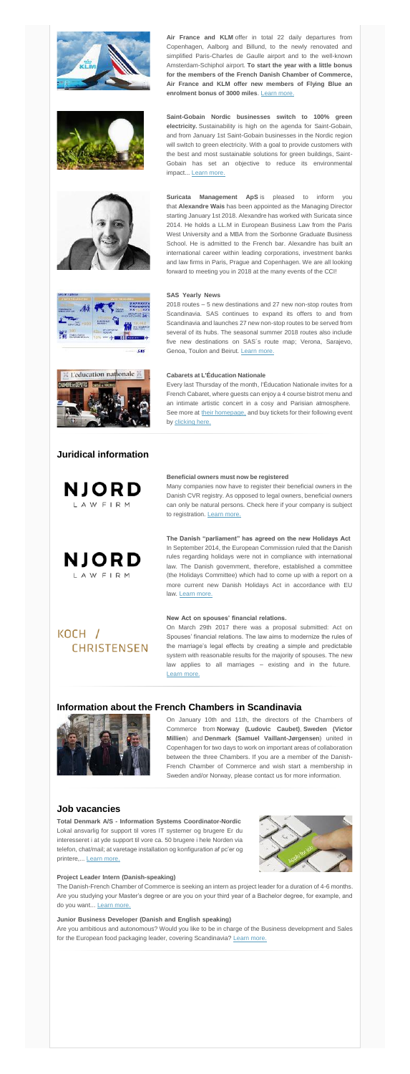

Every last Thursday of the month, l'Éducation Nationale invites for a French Cabaret, where guests can enjoy a 4 course bistrot menu and an intimate artistic concert in a cosy and Parisian atmosphere. See more at [their homepage,](http://www.leducation.dk/) and buy tickets for their following event by [clicking here.](https://billetto.dk/en/e/cabaret-m-anne-dorthe-michelsen-maria-bramsen-tickets-244923)

**Total Denmark A/S - Information Systems Coordinator-Nordic** Lokal ansvarlig for support til vores IT systemer og brugere Er du interesseret i at yde support til vore ca. 50 brugere i hele Norden via telefon, chat/mail; at varetage installation og konfiguration af pc'er og printere,... [Learn more.](http://www.dansk-fransk.dk/index.php?id=35489)



The Danish-French Chamber of Commerce is seeking an intern as project leader for a duration of 4-6 months. Are you studying your Master's degree or are you on your third year of a Bachelor degree, for example, and do you want... [Learn more.](http://www.dansk-fransk.dk/index.php?id=32245)

## **Juridical information**





#### **Beneficial owners must now be registered**…………………………

Many companies now have to register their beneficial owners in the Danish CVR registry. As opposed to legal owners, beneficial owners can only be natural persons. Check here if your company is subject to registration. [Learn more.](https://www.njordlaw.com/beneficial-owners-must-now-be-registered/)

**The Danish "parliament" has agreed on the new Holidays Act** In September 2014, the European Commission ruled that the Danish rules regarding holidays were not in compliance with international law. The Danish government, therefore, established a committee (the Holidays Committee) which had to come up with a report on a more current new Danish Holidays Act in accordance with EU law. [Learn more.](https://www.njordlaw.com/danish-parliament-agreed-new-holidays-act/)

**New Act on spouses' financial relations** 

# KOCH / **CHRISTENSEN**

On March 29th 2017 there was a proposal submitted: Act on Spouses' financial relations. The law aims to modernize the rules of the marriage's legal effects by creating a simple and predictable system with reasonable results for the majority of spouses. The new law applies to all marriages – existing and in the future. [Learn more.](http://www.dansk-fransk.dk/index.php?id=35463&no_cache=1)

### **Information about the French Chambers in Scandinavia**



On January 10th and 11th, the directors of the Chambers of Commerce from **Norway (Ludovic Caubet)**, **Sweden (Victor Millien**) and **Denmark (Samuel Vaillant-Jørgensen**) united in Copenhagen for two days to work on important areas of collaboration between the three Chambers. If you are a member of the Danish-French Chamber of Commerce and wish start a membership in Sweden and/or Norway, please contact us for more information.

### **Job vacancies**

#### **Project Leader Intern (Danish-speaking)** …………………………………………………………………………

#### **Junior Business Developer (Danish and English speaking)** …………………………………………………

Are you ambitious and autonomous? Would you like to be in charge of the Business development and Sales for the European food packaging leader, covering Scandinavia? [Learn more.](http://www.dansk-fransk.dk/index.php?id=34455&no_cache=1)